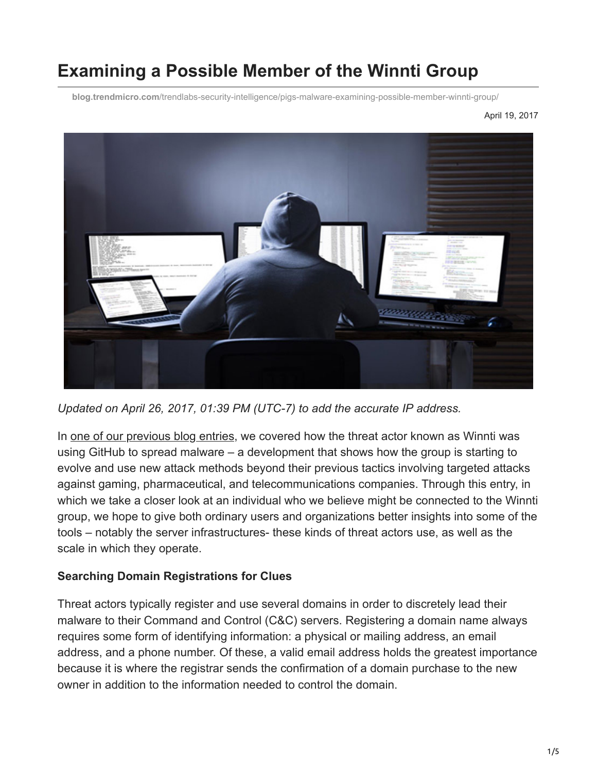# **Examining a Possible Member of the Winnti Group**

**blog.trendmicro.com**[/trendlabs-security-intelligence/pigs-malware-examining-possible-member-winnti-group/](http://blog.trendmicro.com/trendlabs-security-intelligence/pigs-malware-examining-possible-member-winnti-group/)

April 19, 2017



*Updated on April 26, 2017, 01:39 PM (UTC-7) to add the accurate IP address.*

In [one of our previous blog entries,](http://blog.trendmicro.com/trendlabs-security-intelligence/winnti-abuses-github/) we covered how the threat actor known as Winnti was using GitHub to spread malware – a development that shows how the group is starting to evolve and use new attack methods beyond their previous tactics involving targeted attacks against gaming, pharmaceutical, and telecommunications companies. Through this entry, in which we take a closer look at an individual who we believe might be connected to the Winnti group, we hope to give both ordinary users and organizations better insights into some of the tools – notably the server infrastructures- these kinds of threat actors use, as well as the scale in which they operate.

#### **Searching Domain Registrations for Clues**

Threat actors typically register and use several domains in order to discretely lead their malware to their Command and Control (C&C) servers. Registering a domain name always requires some form of identifying information: a physical or mailing address, an email address, and a phone number. Of these, a valid email address holds the greatest importance because it is where the registrar sends the confirmation of a domain purchase to the new owner in addition to the information needed to control the domain.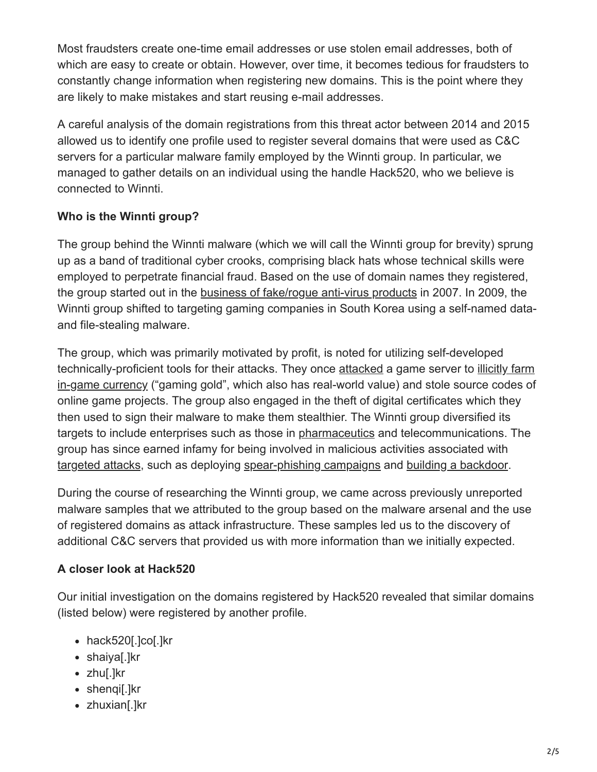Most fraudsters create one-time email addresses or use stolen email addresses, both of which are easy to create or obtain. However, over time, it becomes tedious for fraudsters to constantly change information when registering new domains. This is the point where they are likely to make mistakes and start reusing e-mail addresses.

A careful analysis of the domain registrations from this threat actor between 2014 and 2015 allowed us to identify one profile used to register several domains that were used as C&C servers for a particular malware family employed by the Winnti group. In particular, we managed to gather details on an individual using the handle Hack520, who we believe is connected to Winnti.

## **Who is the Winnti group?**

The group behind the Winnti malware (which we will call the Winnti group for brevity) sprung up as a band of traditional cyber crooks, comprising black hats whose technical skills were employed to perpetrate financial fraud. Based on the use of domain names they registered, the group started out in the [business of fake/rogue anti-virus products](http://www.trendmicro.com/cloud-content/us/pdfs/security-intelligence/reports/rpt_fakeav-growing-problem.pdf) in 2007. In 2009, the Winnti group shifted to targeting gaming companies in South Korea using a self-named dataand file-stealing malware.

The group, which was primarily motivated by profit, is noted for utilizing self-developed [technically-proficient tools for their attacks. They once a](http://blog.trendmicro.com/trendlabs-security-intelligence/funding-cybercrime-the-hidden-side-of-online-gaming-currency-selling/)[ttacke](https://arstechnica.com/security/2013/04/more-then-30-mmorpg-companies-targeted-in-ongoing-malware-attack/)[d a game server to illicitly farm](http://blog.trendmicro.com/trendlabs-security-intelligence/funding-cybercrime-the-hidden-side-of-online-gaming-currency-selling/) in-game currency ("gaming gold", which also has real-world value) and stole source codes of online game projects. The group also engaged in the theft of digital certificates which they then used to sign their malware to make them stealthier. The Winnti group diversified its targets to include enterprises such as those in [pharmaceutics](http://news.softpedia.com/news/winnti-malware-gets-into-pharmaceutical-business-485013.shtml) and telecommunications. The group has since earned infamy for being involved in malicious activities associated with [targeted attacks,](https://www.trendmicro.com/vinfo/us/security/definition/targeted-attacks) such as deploying [spear-phishing campaigns](http://blog.trendmicro.com/trendlabs-security-intelligence/mers-news-used-in-targeted-attack-against-japanese-media-company/) and [building a backdoor](http://blog.trendmicro.com/trendlabs-security-intelligence/backdoor-built-with-aheadlib-used-in-targeted-attacks/).

During the course of researching the Winnti group, we came across previously unreported malware samples that we attributed to the group based on the malware arsenal and the use of registered domains as attack infrastructure. These samples led us to the discovery of additional C&C servers that provided us with more information than we initially expected.

## **A closer look at Hack520**

Our initial investigation on the domains registered by Hack520 revealed that similar domains (listed below) were registered by another profile.

- hack520[.]co[.]kr
- shaiya[.]kr
- zhu[.]kr
- shenqi[.]kr
- zhuxian[.]kr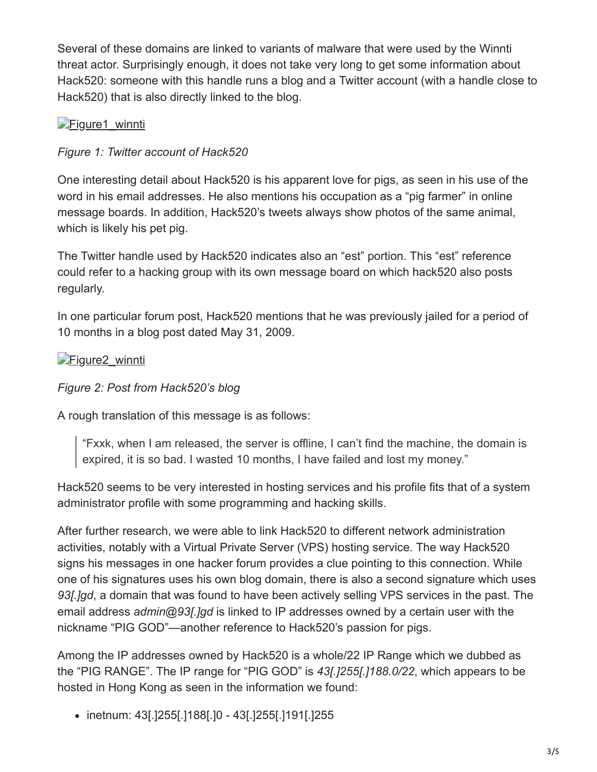Several of these domains are linked to variants of malware that were used by the Winnti threat actor. Surprisingly enough, it does not take very long to get some information about Hack520: someone with this handle runs a blog and a Twitter account (with a handle close to Hack520) that is also directly linked to the blog.

## [Figure1\\_winnti](http://blog.trendmicro.com/content/dam/trendmicro/global/en/migrated/security-intelligence-migration-spreadsheet/trendlabs-security-intelligence/2017/04/Figure1_winnti.jpg)

### *Figure 1: Twitter account of Hack520*

One interesting detail about Hack520 is his apparent love for pigs, as seen in his use of the word in his email addresses. He also mentions his occupation as a "pig farmer" in online message boards. In addition, Hack520's tweets always show photos of the same animal, which is likely his pet pig.

The Twitter handle used by Hack520 indicates also an "est" portion. This "est" reference could refer to a hacking group with its own message board on which hack520 also posts regularly.

In one particular forum post, Hack520 mentions that he was previously jailed for a period of 10 months in a blog post dated May 31, 2009.

## Figure2 winnti

#### *Figure 2: Post from Hack520's blog*

A rough translation of this message is as follows:

"Fxxk, when I am released, the server is offline, I can't find the machine, the domain is expired, it is so bad. I wasted 10 months, I have failed and lost my money."

Hack520 seems to be very interested in hosting services and his profile fits that of a system administrator profile with some programming and hacking skills.

After further research, we were able to link Hack520 to different network administration activities, notably with a Virtual Private Server (VPS) hosting service. The way Hack520 signs his messages in one hacker forum provides a clue pointing to this connection. While one of his signatures uses his own blog domain, there is also a second signature which uses *93[.]gd*, a domain that was found to have been actively selling VPS services in the past. The email address *admin@93[.]gd* is linked to IP addresses owned by a certain user with the nickname "PIG GOD"—another reference to Hack520's passion for pigs.

Among the IP addresses owned by Hack520 is a whole/22 IP Range which we dubbed as the "PIG RANGE". The IP range for "PIG GOD" is *43[.]255[.]188.0/22*, which appears to be hosted in Hong Kong as seen in the information we found:

inetnum: 43[.]255[.]188[.]0 - 43[.]255[.]191[.]255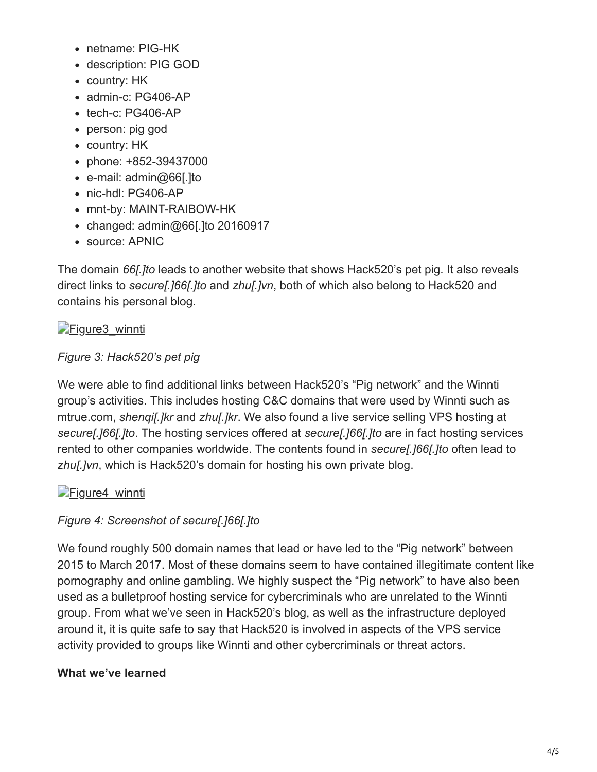- netname: PIG-HK
- description: PIG GOD
- country: HK
- admin-c: PG406-AP
- $\bullet$  tech-c: PG406-AP
- person: pig god
- country: HK
- phone: +852-39437000
- e-mail: admin@66[.]to
- nic-hdl: PG406-AP
- mnt-by: MAINT-RAIBOW-HK
- $\bullet$  changed: admin@66[.]to 20160917
- source: APNIC

The domain *66[.]to* leads to another website that shows Hack520's pet pig. It also reveals direct links to *secure[.]66[.]to* and *zhu[.]vn*, both of which also belong to Hack520 and contains his personal blog.

# Figure3 winnti

## *Figure 3: Hack520's pet pig*

We were able to find additional links between Hack520's "Pig network" and the Winnti group's activities. This includes hosting C&C domains that were used by Winnti such as mtrue.com, *shenqi[.]kr* and *zhu[.]kr*. We also found a live service selling VPS hosting at *secure[.]66[.]to*. The hosting services offered at *secure[.]66[.]to* are in fact hosting services rented to other companies worldwide. The contents found in *secure[.]66[.]to* often lead to *zhu[.]vn*, which is Hack520's domain for hosting his own private blog.

# [Figure4\\_winnti](http://blog.trendmicro.com/content/dam/trendmicro/global/en/migrated/security-intelligence-migration-spreadsheet/trendlabs-security-intelligence/2017/04/Figure4_winnti.jpg)

# *Figure 4: Screenshot of secure[.]66[.]to*

We found roughly 500 domain names that lead or have led to the "Pig network" between 2015 to March 2017. Most of these domains seem to have contained illegitimate content like pornography and online gambling. We highly suspect the "Pig network" to have also been used as a bulletproof hosting service for cybercriminals who are unrelated to the Winnti group. From what we've seen in Hack520's blog, as well as the infrastructure deployed around it, it is quite safe to say that Hack520 is involved in aspects of the VPS service activity provided to groups like Winnti and other cybercriminals or threat actors.

# **What we've learned**